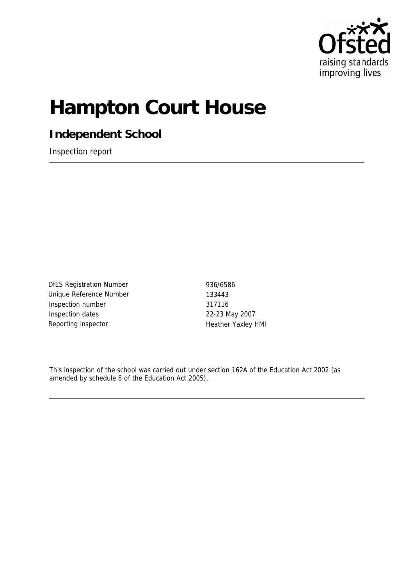

# **Hampton Court House**

**Independent School**

Inspection report

DfES Registration Number 936/6586 Unique Reference Number 133443 Inspection number 317116 Inspection dates 22-23 May 2007 Reporting inspector **Heather Yaxley HMI** 

This inspection of the school was carried out under section 162A of the Education Act 2002 (as amended by schedule 8 of the Education Act 2005).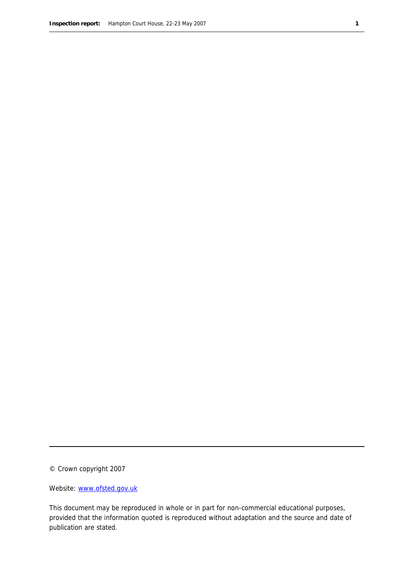© Crown copyright 2007

Website: www.ofsted.gov.uk

This document may be reproduced in whole or in part for non-commercial educational purposes, provided that the information quoted is reproduced without adaptation and the source and date of publication are stated.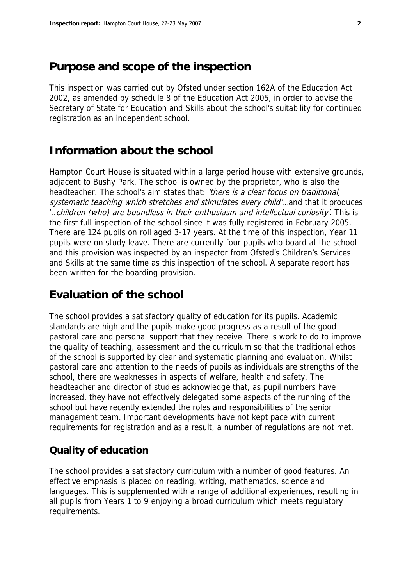## **Purpose and scope of the inspection**

This inspection was carried out by Ofsted under section 162A of the Education Act 2002, as amended by schedule 8 of the Education Act 2005, in order to advise the Secretary of State for Education and Skills about the school's suitability for continued registration as an independent school.

## **Information about the school**

Hampton Court House is situated within a large period house with extensive grounds, adjacent to Bushy Park. The school is owned by the proprietor, who is also the headteacher. The school's aim states that: 'there is a clear focus on traditional, systematic teaching which stretches and stimulates every child'... and that it produces '..children (who) are boundless in their enthusiasm and intellectual curiosity'. This is the first full inspection of the school since it was fully registered in February 2005. There are 124 pupils on roll aged 3-17 years. At the time of this inspection, Year 11 pupils were on study leave. There are currently four pupils who board at the school and this provision was inspected by an inspector from Ofsted's Children's Services and Skills at the same time as this inspection of the school. A separate report has been written for the boarding provision.

## **Evaluation of the school**

The school provides a satisfactory quality of education for its pupils. Academic standards are high and the pupils make good progress as a result of the good pastoral care and personal support that they receive. There is work to do to improve the quality of teaching, assessment and the curriculum so that the traditional ethos of the school is supported by clear and systematic planning and evaluation. Whilst pastoral care and attention to the needs of pupils as individuals are strengths of the school, there are weaknesses in aspects of welfare, health and safety. The headteacher and director of studies acknowledge that, as pupil numbers have increased, they have not effectively delegated some aspects of the running of the school but have recently extended the roles and responsibilities of the senior management team. Important developments have not kept pace with current requirements for registration and as a result, a number of regulations are not met.

### **Quality of education**

The school provides a satisfactory curriculum with a number of good features. An effective emphasis is placed on reading, writing, mathematics, science and languages. This is supplemented with a range of additional experiences, resulting in all pupils from Years 1 to 9 enjoying a broad curriculum which meets regulatory requirements.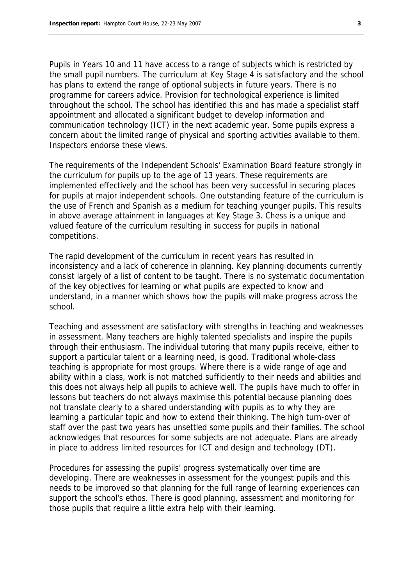Pupils in Years 10 and 11 have access to a range of subjects which is restricted by the small pupil numbers. The curriculum at Key Stage 4 is satisfactory and the school has plans to extend the range of optional subjects in future years. There is no programme for careers advice. Provision for technological experience is limited throughout the school. The school has identified this and has made a specialist staff appointment and allocated a significant budget to develop information and communication technology (ICT) in the next academic year. Some pupils express a concern about the limited range of physical and sporting activities available to them. Inspectors endorse these views.

The requirements of the Independent Schools' Examination Board feature strongly in the curriculum for pupils up to the age of 13 years. These requirements are implemented effectively and the school has been very successful in securing places for pupils at major independent schools. One outstanding feature of the curriculum is the use of French and Spanish as a medium for teaching younger pupils. This results in above average attainment in languages at Key Stage 3. Chess is a unique and valued feature of the curriculum resulting in success for pupils in national competitions.

The rapid development of the curriculum in recent years has resulted in inconsistency and a lack of coherence in planning. Key planning documents currently consist largely of a list of content to be taught. There is no systematic documentation of the key objectives for learning or what pupils are expected to know and understand, in a manner which shows how the pupils will make progress across the school.

Teaching and assessment are satisfactory with strengths in teaching and weaknesses in assessment. Many teachers are highly talented specialists and inspire the pupils through their enthusiasm. The individual tutoring that many pupils receive, either to support a particular talent or a learning need, is good. Traditional whole-class teaching is appropriate for most groups. Where there is a wide range of age and ability within a class, work is not matched sufficiently to their needs and abilities and this does not always help all pupils to achieve well. The pupils have much to offer in lessons but teachers do not always maximise this potential because planning does not translate clearly to a shared understanding with pupils as to why they are learning a particular topic and how to extend their thinking. The high turn-over of staff over the past two years has unsettled some pupils and their families. The school acknowledges that resources for some subjects are not adequate. Plans are already in place to address limited resources for ICT and design and technology (DT).

Procedures for assessing the pupils' progress systematically over time are developing. There are weaknesses in assessment for the youngest pupils and this needs to be improved so that planning for the full range of learning experiences can support the school's ethos. There is good planning, assessment and monitoring for those pupils that require a little extra help with their learning.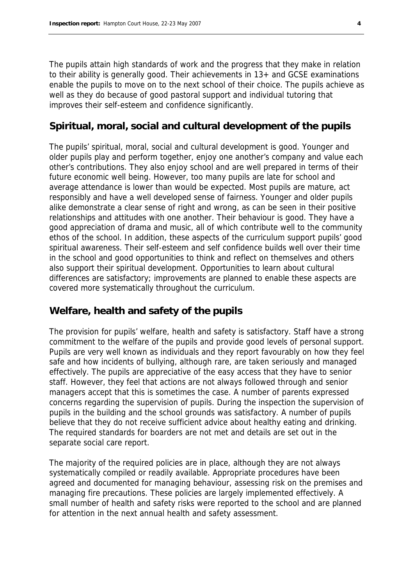The pupils attain high standards of work and the progress that they make in relation to their ability is generally good. Their achievements in 13+ and GCSE examinations enable the pupils to move on to the next school of their choice. The pupils achieve as well as they do because of good pastoral support and individual tutoring that improves their self-esteem and confidence significantly.

#### **Spiritual, moral, social and cultural development of the pupils**

The pupils' spiritual, moral, social and cultural development is good. Younger and older pupils play and perform together, enjoy one another's company and value each other's contributions. They also enjoy school and are well prepared in terms of their future economic well being. However, too many pupils are late for school and average attendance is lower than would be expected. Most pupils are mature, act responsibly and have a well developed sense of fairness. Younger and older pupils alike demonstrate a clear sense of right and wrong, as can be seen in their positive relationships and attitudes with one another. Their behaviour is good. They have a good appreciation of drama and music, all of which contribute well to the community ethos of the school. In addition, these aspects of the curriculum support pupils' good spiritual awareness. Their self-esteem and self confidence builds well over their time in the school and good opportunities to think and reflect on themselves and others also support their spiritual development. Opportunities to learn about cultural differences are satisfactory; improvements are planned to enable these aspects are covered more systematically throughout the curriculum.

## **Welfare, health and safety of the pupils**

The provision for pupils' welfare, health and safety is satisfactory. Staff have a strong commitment to the welfare of the pupils and provide good levels of personal support. Pupils are very well known as individuals and they report favourably on how they feel safe and how incidents of bullying, although rare, are taken seriously and managed effectively. The pupils are appreciative of the easy access that they have to senior staff. However, they feel that actions are not always followed through and senior managers accept that this is sometimes the case. A number of parents expressed concerns regarding the supervision of pupils. During the inspection the supervision of pupils in the building and the school grounds was satisfactory. A number of pupils believe that they do not receive sufficient advice about healthy eating and drinking. The required standards for boarders are not met and details are set out in the separate social care report.

The majority of the required policies are in place, although they are not always systematically compiled or readily available. Appropriate procedures have been agreed and documented for managing behaviour, assessing risk on the premises and managing fire precautions. These policies are largely implemented effectively. A small number of health and safety risks were reported to the school and are planned for attention in the next annual health and safety assessment.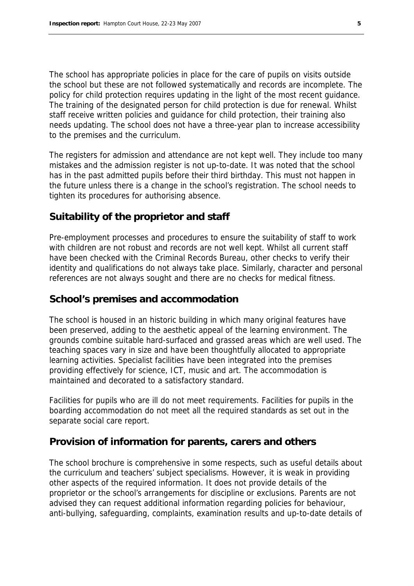The school has appropriate policies in place for the care of pupils on visits outside the school but these are not followed systematically and records are incomplete. The policy for child protection requires updating in the light of the most recent guidance. The training of the designated person for child protection is due for renewal. Whilst staff receive written policies and guidance for child protection, their training also needs updating. The school does not have a three-year plan to increase accessibility to the premises and the curriculum.

The registers for admission and attendance are not kept well. They include too many mistakes and the admission register is not up-to-date. It was noted that the school has in the past admitted pupils before their third birthday. This must not happen in the future unless there is a change in the school's registration. The school needs to tighten its procedures for authorising absence.

### **Suitability of the proprietor and staff**

Pre-employment processes and procedures to ensure the suitability of staff to work with children are not robust and records are not well kept. Whilst all current staff have been checked with the Criminal Records Bureau, other checks to verify their identity and qualifications do not always take place. Similarly, character and personal references are not always sought and there are no checks for medical fitness.

#### **School's premises and accommodation**

The school is housed in an historic building in which many original features have been preserved, adding to the aesthetic appeal of the learning environment. The grounds combine suitable hard-surfaced and grassed areas which are well used. The teaching spaces vary in size and have been thoughtfully allocated to appropriate learning activities. Specialist facilities have been integrated into the premises providing effectively for science, ICT, music and art. The accommodation is maintained and decorated to a satisfactory standard.

Facilities for pupils who are ill do not meet requirements. Facilities for pupils in the boarding accommodation do not meet all the required standards as set out in the separate social care report.

#### **Provision of information for parents, carers and others**

The school brochure is comprehensive in some respects, such as useful details about the curriculum and teachers' subject specialisms. However, it is weak in providing other aspects of the required information. It does not provide details of the proprietor or the school's arrangements for discipline or exclusions. Parents are not advised they can request additional information regarding policies for behaviour, anti-bullying, safeguarding, complaints, examination results and up-to-date details of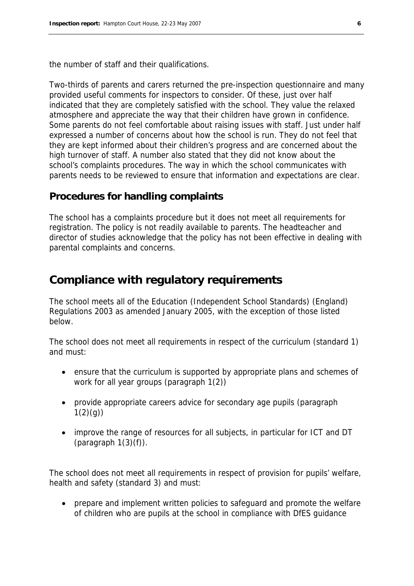the number of staff and their qualifications.

Two-thirds of parents and carers returned the pre-inspection questionnaire and many provided useful comments for inspectors to consider. Of these, just over half indicated that they are completely satisfied with the school. They value the relaxed atmosphere and appreciate the way that their children have grown in confidence. Some parents do not feel comfortable about raising issues with staff. Just under half expressed a number of concerns about how the school is run. They do not feel that they are kept informed about their children's progress and are concerned about the high turnover of staff. A number also stated that they did not know about the school's complaints procedures. The way in which the school communicates with parents needs to be reviewed to ensure that information and expectations are clear.

#### **Procedures for handling complaints**

The school has a complaints procedure but it does not meet all requirements for registration. The policy is not readily available to parents. The headteacher and director of studies acknowledge that the policy has not been effective in dealing with parental complaints and concerns.

## **Compliance with regulatory requirements**

The school meets all of the Education (Independent School Standards) (England) Regulations 2003 as amended January 2005, with the exception of those listed below.

The school does not meet all requirements in respect of the curriculum (standard 1) and must:

- ensure that the curriculum is supported by appropriate plans and schemes of work for all year groups (paragraph 1(2))
- provide appropriate careers advice for secondary age pupils (paragraph  $1(2)(q)$
- improve the range of resources for all subjects, in particular for ICT and DT (paragraph  $1(3)(f)$ ).

The school does not meet all requirements in respect of provision for pupils' welfare, health and safety (standard 3) and must:

 prepare and implement written policies to safeguard and promote the welfare of children who are pupils at the school in compliance with DfES guidance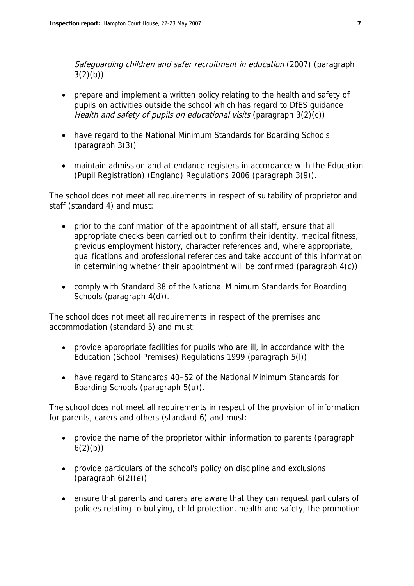Safeguarding children and safer recruitment in education (2007) (paragraph  $3(2)(b)$ 

- prepare and implement a written policy relating to the health and safety of pupils on activities outside the school which has regard to DfES guidance Health and safety of pupils on educational visits (paragraph 3(2)(c))
- have regard to the National Minimum Standards for Boarding Schools (paragraph 3(3))
- maintain admission and attendance registers in accordance with the Education (Pupil Registration) (England) Regulations 2006 (paragraph 3(9)).

The school does not meet all requirements in respect of suitability of proprietor and staff (standard 4) and must:

- prior to the confirmation of the appointment of all staff, ensure that all appropriate checks been carried out to confirm their identity, medical fitness, previous employment history, character references and, where appropriate, qualifications and professional references and take account of this information in determining whether their appointment will be confirmed (paragraph 4(c))
- comply with Standard 38 of the National Minimum Standards for Boarding Schools (paragraph 4(d)).

The school does not meet all requirements in respect of the premises and accommodation (standard 5) and must:

- provide appropriate facilities for pupils who are ill, in accordance with the Education (School Premises) Regulations 1999 (paragraph 5(l))
- have regard to Standards 40–52 of the National Minimum Standards for Boarding Schools (paragraph 5(u)).

The school does not meet all requirements in respect of the provision of information for parents, carers and others (standard 6) and must:

- provide the name of the proprietor within information to parents (paragraph  $6(2)(b)$
- provide particulars of the school's policy on discipline and exclusions  $(paragraph 6(2)(e))$
- ensure that parents and carers are aware that they can request particulars of policies relating to bullying, child protection, health and safety, the promotion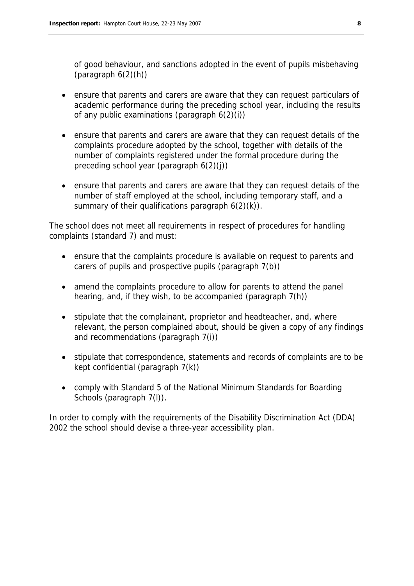of good behaviour, and sanctions adopted in the event of pupils misbehaving (paragraph  $6(2)(h)$ )

- ensure that parents and carers are aware that they can request particulars of academic performance during the preceding school year, including the results of any public examinations (paragraph  $6(2)(i)$ )
- ensure that parents and carers are aware that they can request details of the complaints procedure adopted by the school, together with details of the number of complaints registered under the formal procedure during the preceding school year (paragraph 6(2)(j))
- ensure that parents and carers are aware that they can request details of the number of staff employed at the school, including temporary staff, and a summary of their qualifications paragraph  $6(2)(k)$ .

The school does not meet all requirements in respect of procedures for handling complaints (standard 7) and must:

- ensure that the complaints procedure is available on request to parents and carers of pupils and prospective pupils (paragraph 7(b))
- amend the complaints procedure to allow for parents to attend the panel hearing, and, if they wish, to be accompanied (paragraph 7(h))
- stipulate that the complainant, proprietor and headteacher, and, where relevant, the person complained about, should be given a copy of any findings and recommendations (paragraph 7(i))
- stipulate that correspondence, statements and records of complaints are to be kept confidential (paragraph 7(k))
- comply with Standard 5 of the National Minimum Standards for Boarding Schools (paragraph 7(I)).

In order to comply with the requirements of the Disability Discrimination Act (DDA) 2002 the school should devise a three-year accessibility plan.